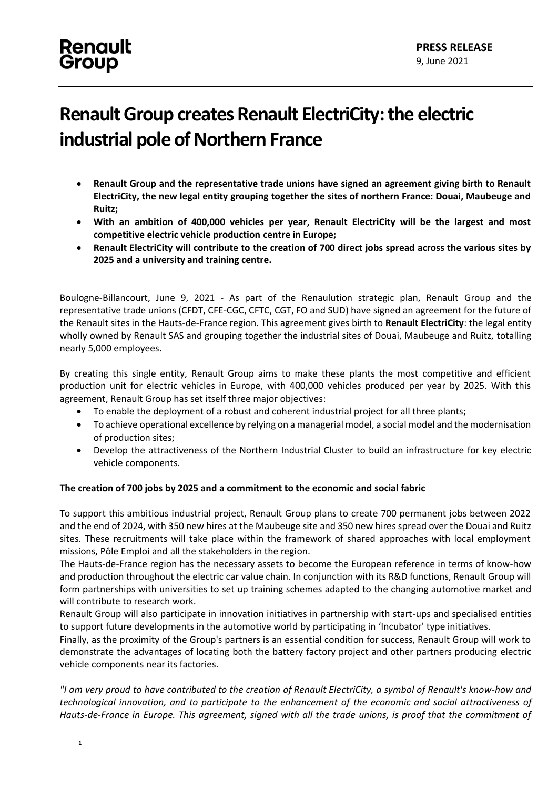### **Renault** Group

## **Renault Group creates Renault ElectriCity: the electric industrial pole of Northern France**

- **Renault Group and the representative trade unions have signed an agreement giving birth to Renault ElectriCity, the new legal entity grouping together the sites of northern France: Douai, Maubeuge and Ruitz;**
- **With an ambition of 400,000 vehicles per year, Renault ElectriCity will be the largest and most competitive electric vehicle production centre in Europe;**
- **Renault ElectriCity will contribute to the creation of 700 direct jobs spread across the various sites by 2025 and a university and training centre.**

Boulogne-Billancourt, June 9, 2021 - As part of the Renaulution strategic plan, Renault Group and the representative trade unions (CFDT, CFE-CGC, CFTC, CGT, FO and SUD) have signed an agreement for the future of the Renault sites in the Hauts-de-France region. This agreement gives birth to **Renault ElectriCity**: the legal entity wholly owned by Renault SAS and grouping together the industrial sites of Douai, Maubeuge and Ruitz, totalling nearly 5,000 employees.

By creating this single entity, Renault Group aims to make these plants the most competitive and efficient production unit for electric vehicles in Europe, with 400,000 vehicles produced per year by 2025. With this agreement, Renault Group has set itself three major objectives:

- To enable the deployment of a robust and coherent industrial project for all three plants;
- To achieve operational excellence by relying on a managerial model, a social model and the modernisation of production sites;
- Develop the attractiveness of the Northern Industrial Cluster to build an infrastructure for key electric vehicle components.

#### **The creation of 700 jobs by 2025 and a commitment to the economic and social fabric**

To support this ambitious industrial project, Renault Group plans to create 700 permanent jobs between 2022 and the end of 2024, with 350 new hires at the Maubeuge site and 350 new hires spread over the Douai and Ruitz sites. These recruitments will take place within the framework of shared approaches with local employment missions, Pôle Emploi and all the stakeholders in the region.

The Hauts-de-France region has the necessary assets to become the European reference in terms of know-how and production throughout the electric car value chain. In conjunction with its R&D functions, Renault Group will form partnerships with universities to set up training schemes adapted to the changing automotive market and will contribute to research work.

Renault Group will also participate in innovation initiatives in partnership with start-ups and specialised entities to support future developments in the automotive world by participating in 'Incubator' type initiatives.

Finally, as the proximity of the Group's partners is an essential condition for success, Renault Group will work to demonstrate the advantages of locating both the battery factory project and other partners producing electric vehicle components near its factories.

*"I am very proud to have contributed to the creation of Renault ElectriCity, a symbol of Renault's know-how and technological innovation, and to participate to the enhancement of the economic and social attractiveness of Hauts-de-France in Europe. This agreement, signed with all the trade unions, is proof that the commitment of*